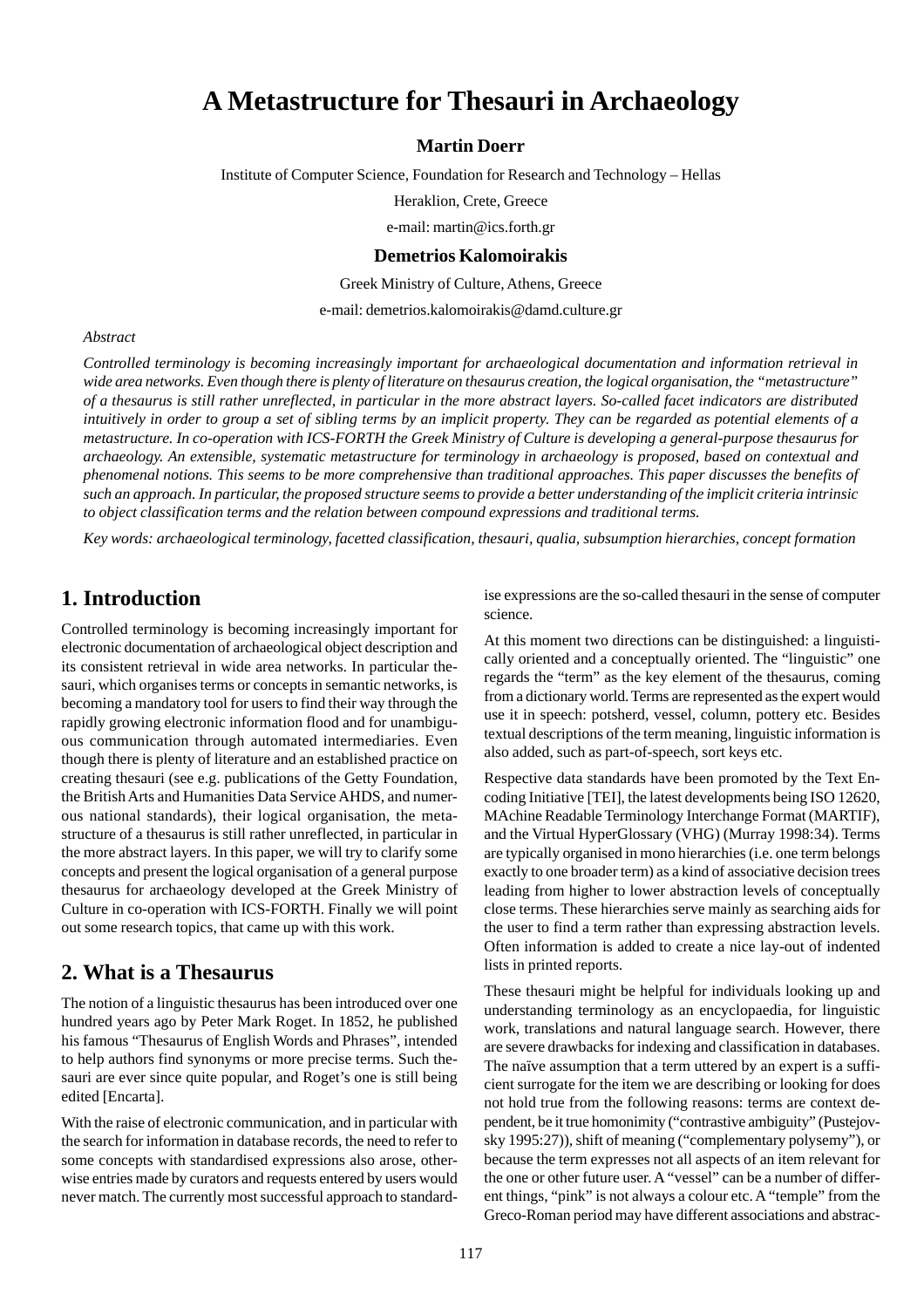# **A Metastructure for Thesauri in Archaeology**

#### **Martin Doerr**

Institute of Computer Science, Foundation for Research and Technology – Hellas

Heraklion, Crete, Greece

e-mail: martin@ics.forth.gr

#### **Demetrios Kalomoirakis**

Greek Ministry of Culture, Athens, Greece

e-mail: demetrios.kalomoirakis@damd.culture.gr

#### *Abstract*

*Controlled terminology is becoming increasingly important for archaeological documentation and information retrieval in wide area networks. Even though there is plenty of literature on thesaurus creation, the logical organisation, the "metastructure" of a thesaurus is still rather unreflected, in particular in the more abstract layers. So-called facet indicators are distributed intuitively in order to group a set of sibling terms by an implicit property. They can be regarded as potential elements of a metastructure. In co-operation with ICS-FORTH the Greek Ministry of Culture is developing a general-purpose thesaurus for archaeology. An extensible, systematic metastructure for terminology in archaeology is proposed, based on contextual and phenomenal notions. This seems to be more comprehensive than traditional approaches. This paper discusses the benefits of such an approach. In particular, the proposed structure seems to provide a better understanding of the implicit criteria intrinsic to object classification terms and the relation between compound expressions and traditional terms.*

*Key words: archaeological terminology, facetted classification, thesauri, qualia, subsumption hierarchies, concept formation*

### **1. Introduction**

Controlled terminology is becoming increasingly important for electronic documentation of archaeological object description and its consistent retrieval in wide area networks. In particular thesauri, which organises terms or concepts in semantic networks, is becoming a mandatory tool for users to find their way through the rapidly growing electronic information flood and for unambiguous communication through automated intermediaries. Even though there is plenty of literature and an established practice on creating thesauri (see e.g. publications of the Getty Foundation, the British Arts and Humanities Data Service AHDS, and numerous national standards), their logical organisation, the metastructure of a thesaurus is still rather unreflected, in particular in the more abstract layers. In this paper, we will try to clarify some concepts and present the logical organisation of a general purpose thesaurus for archaeology developed at the Greek Ministry of Culture in co-operation with ICS-FORTH. Finally we will point out some research topics, that came up with this work.

#### **2. What is a Thesaurus**

The notion of a linguistic thesaurus has been introduced over one hundred years ago by Peter Mark Roget. In 1852, he published his famous "Thesaurus of English Words and Phrases", intended to help authors find synonyms or more precise terms. Such thesauri are ever since quite popular, and Roget's one is still being edited [Encarta].

With the raise of electronic communication, and in particular with the search for information in database records, the need to refer to some concepts with standardised expressions also arose, otherwise entries made by curators and requests entered by users would never match. The currently most successful approach to standardise expressions are the so-called thesauri in the sense of computer science.

At this moment two directions can be distinguished: a linguistically oriented and a conceptually oriented. The "linguistic" one regards the "term" as the key element of the thesaurus, coming from a dictionary world. Terms are represented as the expert would use it in speech: potsherd, vessel, column, pottery etc. Besides textual descriptions of the term meaning, linguistic information is also added, such as part-of-speech, sort keys etc.

Respective data standards have been promoted by the Text Encoding Initiative [TEI], the latest developments being ISO 12620, MAchine Readable Terminology Interchange Format (MARTIF), and the Virtual HyperGlossary (VHG) (Murray 1998:34). Terms are typically organised in mono hierarchies (i.e. one term belongs exactly to one broader term) as a kind of associative decision trees leading from higher to lower abstraction levels of conceptually close terms. These hierarchies serve mainly as searching aids for the user to find a term rather than expressing abstraction levels. Often information is added to create a nice lay-out of indented lists in printed reports.

These thesauri might be helpful for individuals looking up and understanding terminology as an encyclopaedia, for linguistic work, translations and natural language search. However, there are severe drawbacks for indexing and classification in databases. The naïve assumption that a term uttered by an expert is a sufficient surrogate for the item we are describing or looking for does not hold true from the following reasons: terms are context dependent, be it true homonimity ("contrastive ambiguity" (Pustejovsky 1995:27)), shift of meaning ("complementary polysemy"), or because the term expresses not all aspects of an item relevant for the one or other future user. A "vessel" can be a number of different things, "pink" is not always a colour etc. A "temple" from the Greco-Roman period may have different associations and abstrac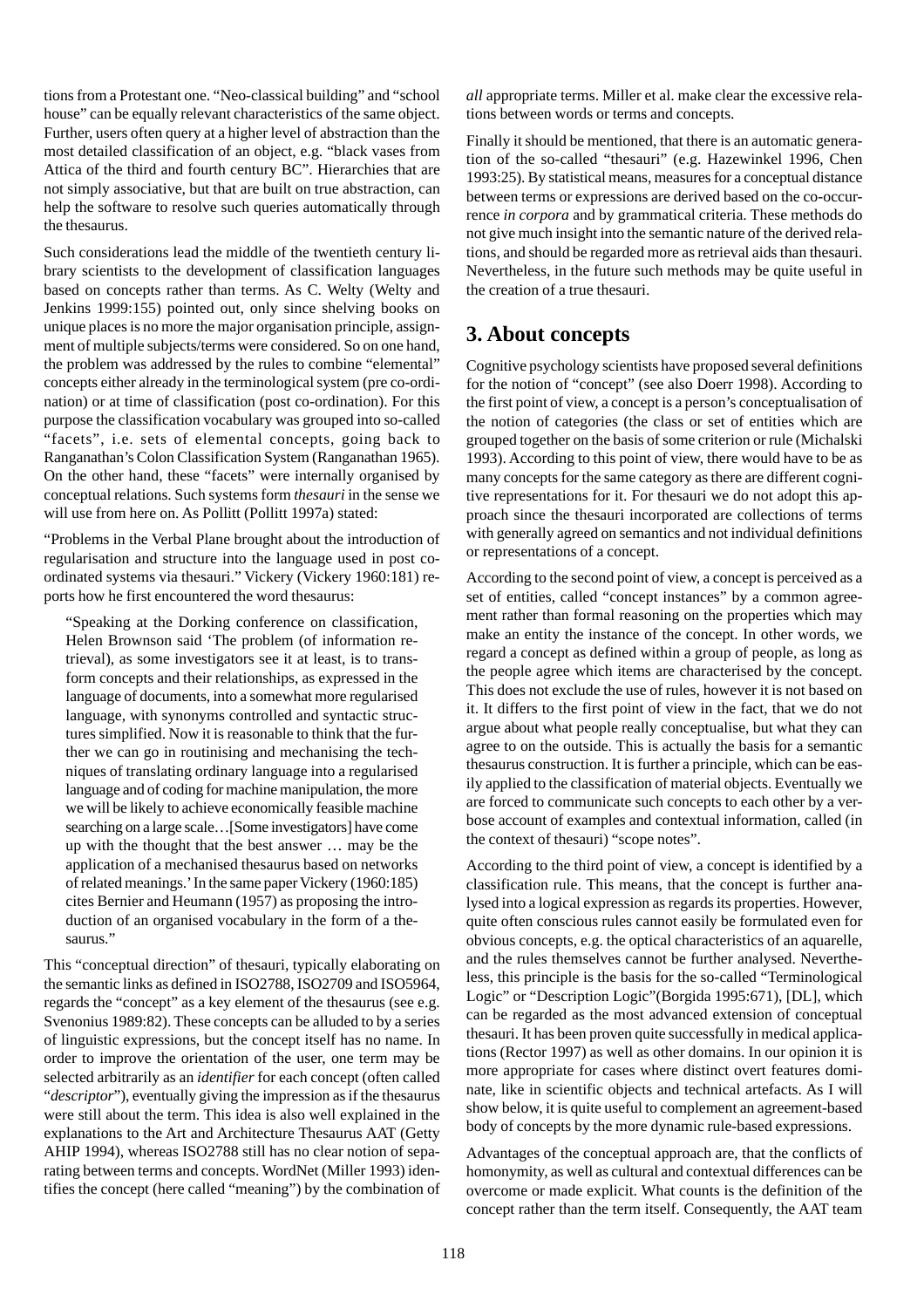tions from a Protestant one. "Neo-classical building" and "school house" can be equally relevant characteristics of the same object. Further, users often query at a higher level of abstraction than the most detailed classification of an object, e.g. "black vases from Attica of the third and fourth century BC". Hierarchies that are not simply associative, but that are built on true abstraction, can help the software to resolve such queries automatically through the thesaurus.

Such considerations lead the middle of the twentieth century library scientists to the development of classification languages based on concepts rather than terms. As C. Welty (Welty and Jenkins 1999:155) pointed out, only since shelving books on unique places is no more the major organisation principle, assignment of multiple subjects/terms were considered. So on one hand, the problem was addressed by the rules to combine "elemental" concepts either already in the terminological system (pre co-ordination) or at time of classification (post co-ordination). For this purpose the classification vocabulary was grouped into so-called "facets", i.e. sets of elemental concepts, going back to Ranganathan's Colon Classification System (Ranganathan 1965). On the other hand, these "facets" were internally organised by conceptual relations. Such systems form *thesauri* in the sense we will use from here on. As Pollitt (Pollitt 1997a) stated:

"Problems in the Verbal Plane brought about the introduction of regularisation and structure into the language used in post coordinated systems via thesauri." Vickery (Vickery 1960:181) reports how he first encountered the word thesaurus:

"Speaking at the Dorking conference on classification, Helen Brownson said 'The problem (of information retrieval), as some investigators see it at least, is to transform concepts and their relationships, as expressed in the language of documents, into a somewhat more regularised language, with synonyms controlled and syntactic structures simplified. Now it is reasonable to think that the further we can go in routinising and mechanising the techniques of translating ordinary language into a regularised language and of coding for machine manipulation, the more we will be likely to achieve economically feasible machine searching on a large scale…[Some investigators] have come up with the thought that the best answer … may be the application of a mechanised thesaurus based on networks of related meanings.' In the same paper Vickery (1960:185) cites Bernier and Heumann (1957) as proposing the introduction of an organised vocabulary in the form of a thesaurus."

This "conceptual direction" of thesauri, typically elaborating on the semantic links as defined in ISO2788, ISO2709 and ISO5964, regards the "concept" as a key element of the thesaurus (see e.g. Svenonius 1989:82). These concepts can be alluded to by a series of linguistic expressions, but the concept itself has no name. In order to improve the orientation of the user, one term may be selected arbitrarily as an *identifier* for each concept (often called "*descriptor*"), eventually giving the impression as if the thesaurus were still about the term. This idea is also well explained in the explanations to the Art and Architecture Thesaurus AAT (Getty AHIP 1994), whereas ISO2788 still has no clear notion of separating between terms and concepts. WordNet (Miller 1993) identifies the concept (here called "meaning") by the combination of

*all* appropriate terms. Miller et al. make clear the excessive relations between words or terms and concepts.

Finally it should be mentioned, that there is an automatic generation of the so-called "thesauri" (e.g. Hazewinkel 1996, Chen 1993:25). By statistical means, measures for a conceptual distance between terms or expressions are derived based on the co-occurrence *in corpora* and by grammatical criteria. These methods do not give much insight into the semantic nature of the derived relations, and should be regarded more as retrieval aids than thesauri. Nevertheless, in the future such methods may be quite useful in the creation of a true thesauri.

### **3. About concepts**

Cognitive psychology scientists have proposed several definitions for the notion of "concept" (see also Doerr 1998). According to the first point of view, a concept is a person's conceptualisation of the notion of categories (the class or set of entities which are grouped together on the basis of some criterion or rule (Michalski 1993). According to this point of view, there would have to be as many concepts for the same category as there are different cognitive representations for it. For thesauri we do not adopt this approach since the thesauri incorporated are collections of terms with generally agreed on semantics and not individual definitions or representations of a concept.

According to the second point of view, a concept is perceived as a set of entities, called "concept instances" by a common agreement rather than formal reasoning on the properties which may make an entity the instance of the concept. In other words, we regard a concept as defined within a group of people, as long as the people agree which items are characterised by the concept. This does not exclude the use of rules, however it is not based on it. It differs to the first point of view in the fact, that we do not argue about what people really conceptualise, but what they can agree to on the outside. This is actually the basis for a semantic thesaurus construction. It is further a principle, which can be easily applied to the classification of material objects. Eventually we are forced to communicate such concepts to each other by a verbose account of examples and contextual information, called (in the context of thesauri) "scope notes".

According to the third point of view, a concept is identified by a classification rule. This means, that the concept is further analysed into a logical expression as regards its properties. However, quite often conscious rules cannot easily be formulated even for obvious concepts, e.g. the optical characteristics of an aquarelle, and the rules themselves cannot be further analysed. Nevertheless, this principle is the basis for the so-called "Terminological Logic" or "Description Logic"(Borgida 1995:671), [DL], which can be regarded as the most advanced extension of conceptual thesauri. It has been proven quite successfully in medical applications (Rector 1997) as well as other domains. In our opinion it is more appropriate for cases where distinct overt features dominate, like in scientific objects and technical artefacts. As I will show below, it is quite useful to complement an agreement-based body of concepts by the more dynamic rule-based expressions.

Advantages of the conceptual approach are, that the conflicts of homonymity, as well as cultural and contextual differences can be overcome or made explicit. What counts is the definition of the concept rather than the term itself. Consequently, the AAT team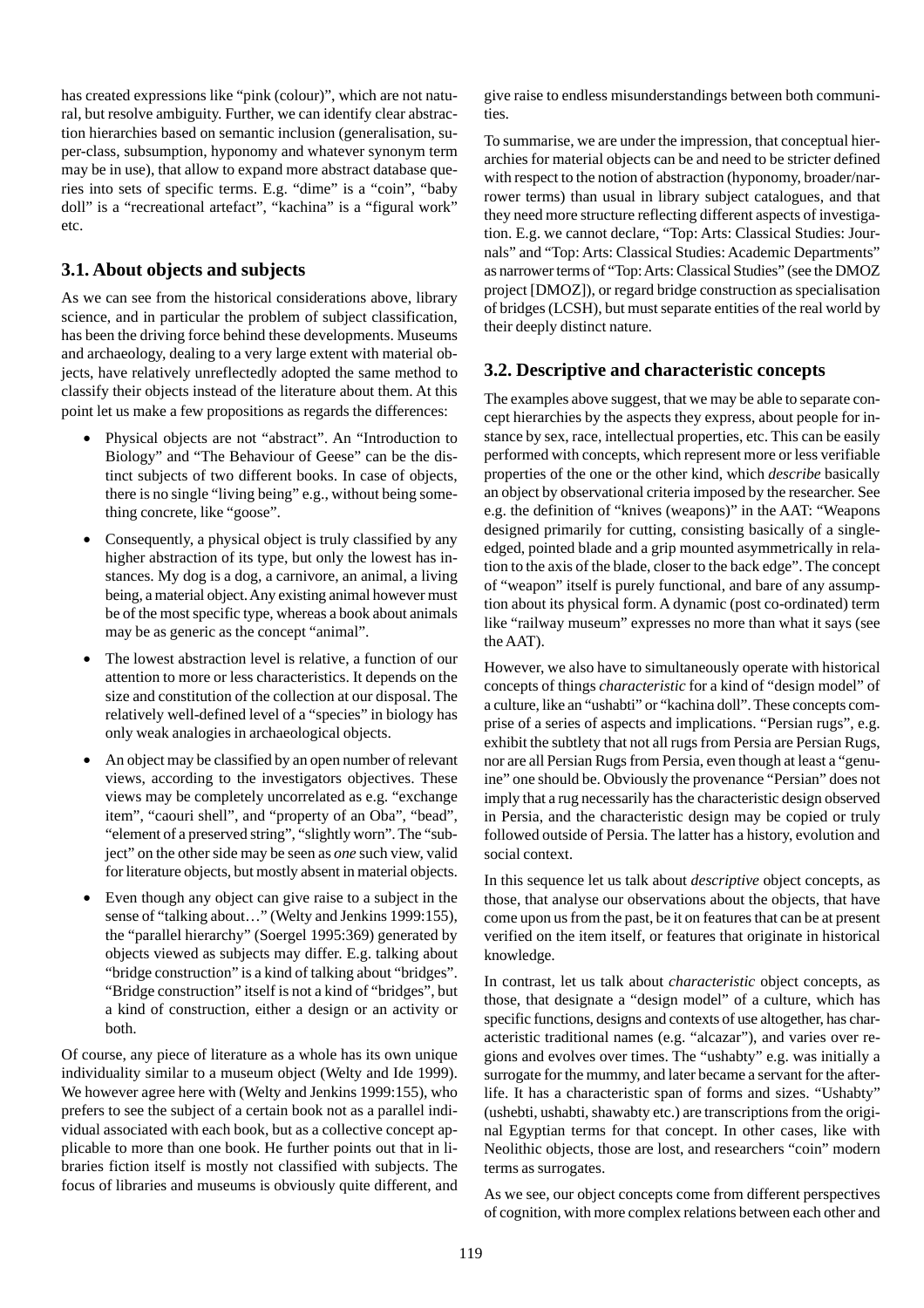has created expressions like "pink (colour)", which are not natural, but resolve ambiguity. Further, we can identify clear abstraction hierarchies based on semantic inclusion (generalisation, super-class, subsumption, hyponomy and whatever synonym term may be in use), that allow to expand more abstract database queries into sets of specific terms. E.g. "dime" is a "coin", "baby doll" is a "recreational artefact", "kachina" is a "figural work" etc.

#### **3.1. About objects and subjects**

As we can see from the historical considerations above, library science, and in particular the problem of subject classification, has been the driving force behind these developments. Museums and archaeology, dealing to a very large extent with material objects, have relatively unreflectedly adopted the same method to classify their objects instead of the literature about them. At this point let us make a few propositions as regards the differences:

- Physical objects are not "abstract". An "Introduction to Biology" and "The Behaviour of Geese" can be the distinct subjects of two different books. In case of objects, there is no single "living being" e.g., without being something concrete, like "goose".
- Consequently, a physical object is truly classified by any higher abstraction of its type, but only the lowest has instances. My dog is a dog, a carnivore, an animal, a living being, a material object. Any existing animal however must be of the most specific type, whereas a book about animals may be as generic as the concept "animal".
- The lowest abstraction level is relative, a function of our attention to more or less characteristics. It depends on the size and constitution of the collection at our disposal. The relatively well-defined level of a "species" in biology has only weak analogies in archaeological objects.
- An object may be classified by an open number of relevant views, according to the investigators objectives. These views may be completely uncorrelated as e.g. "exchange item", "caouri shell", and "property of an Oba", "bead", "element of a preserved string", "slightly worn". The "subject" on the other side may be seen as *one* such view, valid for literature objects, but mostly absent in material objects.
- Even though any object can give raise to a subject in the sense of "talking about..." (Welty and Jenkins 1999:155), the "parallel hierarchy" (Soergel 1995:369) generated by objects viewed as subjects may differ. E.g. talking about "bridge construction" is a kind of talking about "bridges". "Bridge construction" itself is not a kind of "bridges", but a kind of construction, either a design or an activity or both.

Of course, any piece of literature as a whole has its own unique individuality similar to a museum object (Welty and Ide 1999). We however agree here with (Welty and Jenkins 1999:155), who prefers to see the subject of a certain book not as a parallel individual associated with each book, but as a collective concept applicable to more than one book. He further points out that in libraries fiction itself is mostly not classified with subjects. The focus of libraries and museums is obviously quite different, and give raise to endless misunderstandings between both communities.

To summarise, we are under the impression, that conceptual hierarchies for material objects can be and need to be stricter defined with respect to the notion of abstraction (hyponomy, broader/narrower terms) than usual in library subject catalogues, and that they need more structure reflecting different aspects of investigation. E.g. we cannot declare, "Top: Arts: Classical Studies: Journals" and "Top: Arts: Classical Studies: Academic Departments" as narrower terms of "Top: Arts: Classical Studies" (see the DMOZ project [DMOZ]), or regard bridge construction as specialisation of bridges (LCSH), but must separate entities of the real world by their deeply distinct nature.

#### **3.2. Descriptive and characteristic concepts**

The examples above suggest, that we may be able to separate concept hierarchies by the aspects they express, about people for instance by sex, race, intellectual properties, etc. This can be easily performed with concepts, which represent more or less verifiable properties of the one or the other kind, which *describe* basically an object by observational criteria imposed by the researcher. See e.g. the definition of "knives (weapons)" in the AAT: "Weapons designed primarily for cutting, consisting basically of a singleedged, pointed blade and a grip mounted asymmetrically in relation to the axis of the blade, closer to the back edge". The concept of "weapon" itself is purely functional, and bare of any assumption about its physical form. A dynamic (post co-ordinated) term like "railway museum" expresses no more than what it says (see the AAT).

However, we also have to simultaneously operate with historical concepts of things *characteristic* for a kind of "design model" of a culture, like an "ushabti" or "kachina doll". These concepts comprise of a series of aspects and implications. "Persian rugs", e.g. exhibit the subtlety that not all rugs from Persia are Persian Rugs, nor are all Persian Rugs from Persia, even though at least a "genuine" one should be. Obviously the provenance "Persian" does not imply that a rug necessarily has the characteristic design observed in Persia, and the characteristic design may be copied or truly followed outside of Persia. The latter has a history, evolution and social context.

In this sequence let us talk about *descriptive* object concepts, as those, that analyse our observations about the objects, that have come upon us from the past, be it on features that can be at present verified on the item itself, or features that originate in historical knowledge.

In contrast, let us talk about *characteristic* object concepts, as those, that designate a "design model" of a culture, which has specific functions, designs and contexts of use altogether, has characteristic traditional names (e.g. "alcazar"), and varies over regions and evolves over times. The "ushabty" e.g. was initially a surrogate for the mummy, and later became a servant for the afterlife. It has a characteristic span of forms and sizes. "Ushabty" (ushebti, ushabti, shawabty etc.) are transcriptions from the original Egyptian terms for that concept. In other cases, like with Neolithic objects, those are lost, and researchers "coin" modern terms as surrogates.

As we see, our object concepts come from different perspectives of cognition, with more complex relations between each other and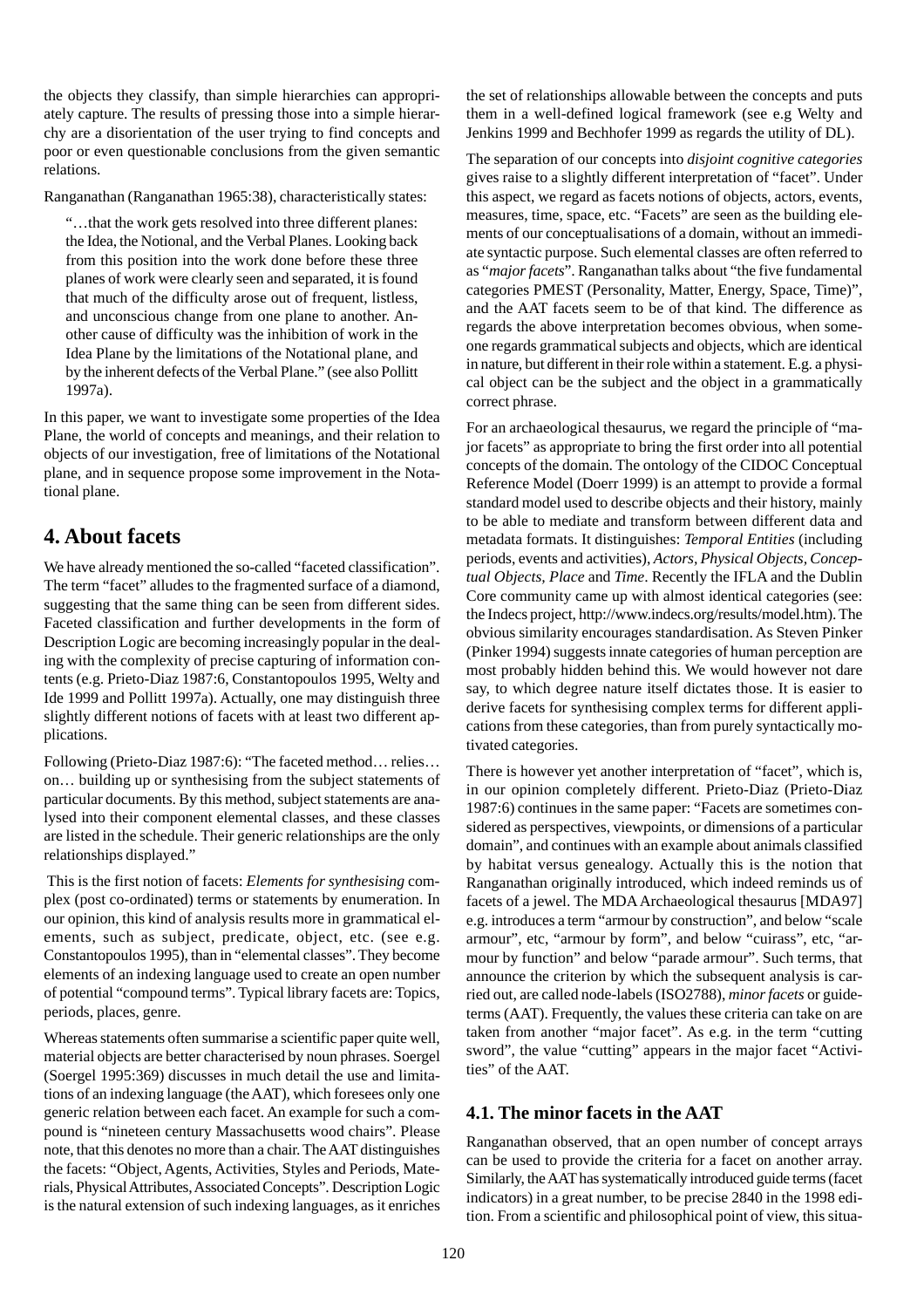the objects they classify, than simple hierarchies can appropriately capture. The results of pressing those into a simple hierarchy are a disorientation of the user trying to find concepts and poor or even questionable conclusions from the given semantic relations.

Ranganathan (Ranganathan 1965:38), characteristically states:

"…that the work gets resolved into three different planes: the Idea, the Notional, and the Verbal Planes. Looking back from this position into the work done before these three planes of work were clearly seen and separated, it is found that much of the difficulty arose out of frequent, listless, and unconscious change from one plane to another. Another cause of difficulty was the inhibition of work in the Idea Plane by the limitations of the Notational plane, and by the inherent defects of the Verbal Plane." (see also Pollitt 1997a).

In this paper, we want to investigate some properties of the Idea Plane, the world of concepts and meanings, and their relation to objects of our investigation, free of limitations of the Notational plane, and in sequence propose some improvement in the Notational plane.

### **4. About facets**

We have already mentioned the so-called "faceted classification". The term "facet" alludes to the fragmented surface of a diamond, suggesting that the same thing can be seen from different sides. Faceted classification and further developments in the form of Description Logic are becoming increasingly popular in the dealing with the complexity of precise capturing of information contents (e.g. Prieto-Diaz 1987:6, Constantopoulos 1995, Welty and Ide 1999 and Pollitt 1997a). Actually, one may distinguish three slightly different notions of facets with at least two different applications.

Following (Prieto-Diaz 1987:6): "The faceted method… relies… on… building up or synthesising from the subject statements of particular documents. By this method, subject statements are analysed into their component elemental classes, and these classes are listed in the schedule. Their generic relationships are the only relationships displayed."

 This is the first notion of facets: *Elements for synthesising* complex (post co-ordinated) terms or statements by enumeration. In our opinion, this kind of analysis results more in grammatical elements, such as subject, predicate, object, etc. (see e.g. Constantopoulos 1995), than in "elemental classes". They become elements of an indexing language used to create an open number of potential "compound terms". Typical library facets are: Topics, periods, places, genre.

Whereas statements often summarise a scientific paper quite well, material objects are better characterised by noun phrases. Soergel (Soergel 1995:369) discusses in much detail the use and limitations of an indexing language (the AAT), which foresees only one generic relation between each facet. An example for such a compound is "nineteen century Massachusetts wood chairs". Please note, that this denotes no more than a chair. The AAT distinguishes the facets: "Object, Agents, Activities, Styles and Periods, Materials, Physical Attributes, Associated Concepts". Description Logic is the natural extension of such indexing languages, as it enriches the set of relationships allowable between the concepts and puts them in a well-defined logical framework (see e.g Welty and Jenkins 1999 and Bechhofer 1999 as regards the utility of DL).

The separation of our concepts into *disjoint cognitive categories* gives raise to a slightly different interpretation of "facet". Under this aspect, we regard as facets notions of objects, actors, events, measures, time, space, etc. "Facets" are seen as the building elements of our conceptualisations of a domain, without an immediate syntactic purpose. Such elemental classes are often referred to as "*major facets*". Ranganathan talks about "the five fundamental categories PMEST (Personality, Matter, Energy, Space, Time)", and the AAT facets seem to be of that kind. The difference as regards the above interpretation becomes obvious, when someone regards grammatical subjects and objects, which are identical in nature, but different in their role within a statement. E.g. a physical object can be the subject and the object in a grammatically correct phrase.

For an archaeological thesaurus, we regard the principle of "major facets" as appropriate to bring the first order into all potential concepts of the domain. The ontology of the CIDOC Conceptual Reference Model (Doerr 1999) is an attempt to provide a formal standard model used to describe objects and their history, mainly to be able to mediate and transform between different data and metadata formats. It distinguishes: *Temporal Entities* (including periods, events and activities), *Actors, Physical Objects, Conceptual Objects, Place* and *Time*. Recently the IFLA and the Dublin Core community came up with almost identical categories (see: the Indecs project, http://www.indecs.org/results/model.htm). The obvious similarity encourages standardisation. As Steven Pinker (Pinker 1994) suggests innate categories of human perception are most probably hidden behind this. We would however not dare say, to which degree nature itself dictates those. It is easier to derive facets for synthesising complex terms for different applications from these categories, than from purely syntactically motivated categories.

There is however yet another interpretation of "facet", which is, in our opinion completely different. Prieto-Diaz (Prieto-Diaz 1987:6) continues in the same paper: "Facets are sometimes considered as perspectives, viewpoints, or dimensions of a particular domain", and continues with an example about animals classified by habitat versus genealogy. Actually this is the notion that Ranganathan originally introduced, which indeed reminds us of facets of a jewel. The MDA Archaeological thesaurus [MDA97] e.g. introduces a term "armour by construction", and below "scale armour", etc, "armour by form", and below "cuirass", etc, "armour by function" and below "parade armour". Such terms, that announce the criterion by which the subsequent analysis is carried out, are called node-labels (ISO2788), *minor facets* or guideterms (AAT). Frequently, the values these criteria can take on are taken from another "major facet". As e.g. in the term "cutting sword", the value "cutting" appears in the major facet "Activities" of the AAT.

#### **4.1. The minor facets in the AAT**

Ranganathan observed, that an open number of concept arrays can be used to provide the criteria for a facet on another array. Similarly, the AAT has systematically introduced guide terms (facet indicators) in a great number, to be precise 2840 in the 1998 edition. From a scientific and philosophical point of view, this situa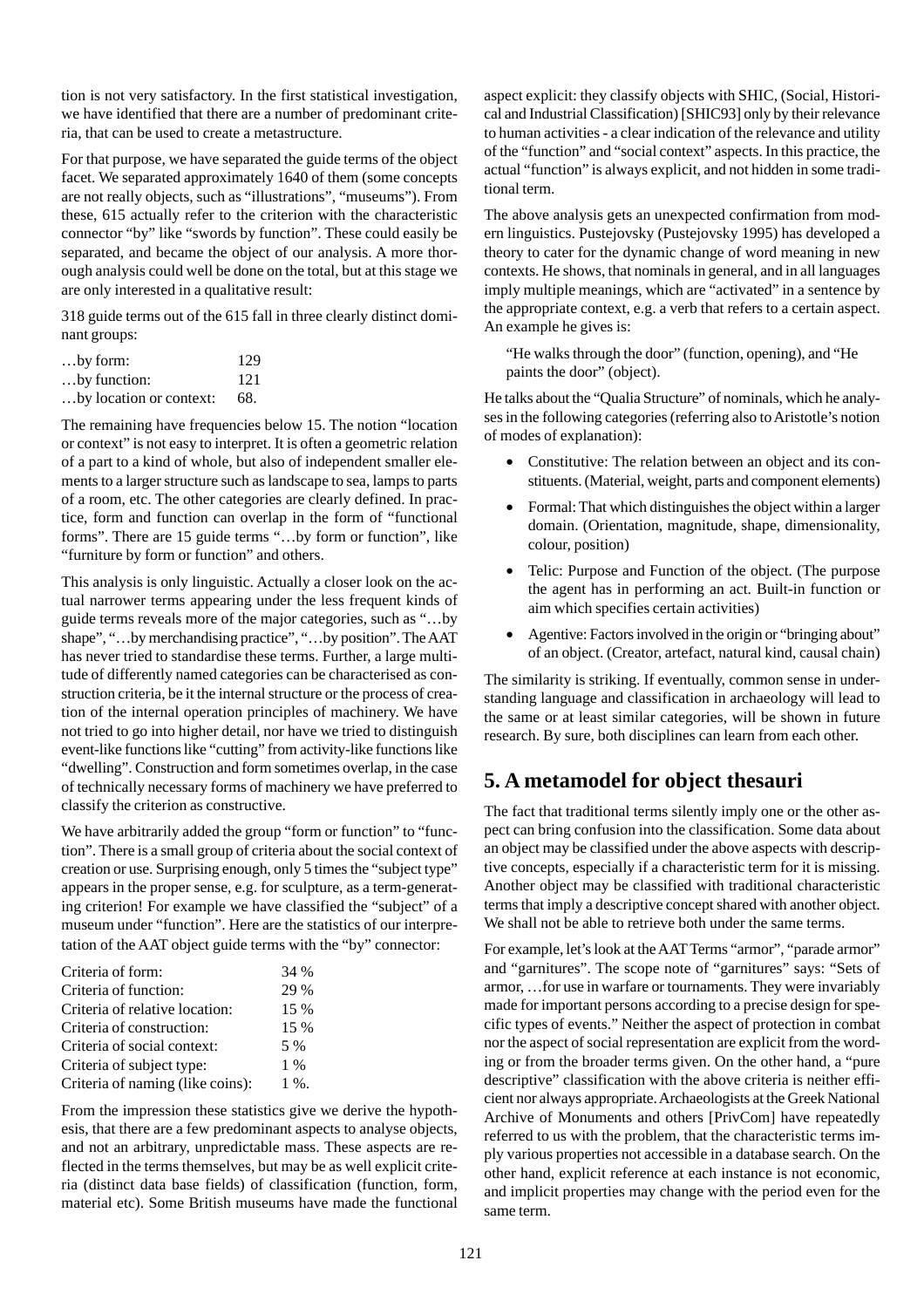tion is not very satisfactory. In the first statistical investigation, we have identified that there are a number of predominant criteria, that can be used to create a metastructure.

For that purpose, we have separated the guide terms of the object facet. We separated approximately 1640 of them (some concepts are not really objects, such as "illustrations", "museums"). From these, 615 actually refer to the criterion with the characteristic connector "by" like "swords by function". These could easily be separated, and became the object of our analysis. A more thorough analysis could well be done on the total, but at this stage we are only interested in a qualitative result:

318 guide terms out of the 615 fall in three clearly distinct dominant groups:

| $$ by form:                 | 129 |
|-----------------------------|-----|
| by function:                | 121 |
| by location or context: 68. |     |

The remaining have frequencies below 15. The notion "location or context" is not easy to interpret. It is often a geometric relation of a part to a kind of whole, but also of independent smaller elements to a larger structure such as landscape to sea, lamps to parts of a room, etc. The other categories are clearly defined. In practice, form and function can overlap in the form of "functional forms". There are 15 guide terms "…by form or function", like "furniture by form or function" and others.

This analysis is only linguistic. Actually a closer look on the actual narrower terms appearing under the less frequent kinds of guide terms reveals more of the major categories, such as "…by shape", "…by merchandising practice", "…by position". The AAT has never tried to standardise these terms. Further, a large multitude of differently named categories can be characterised as construction criteria, be it the internal structure or the process of creation of the internal operation principles of machinery. We have not tried to go into higher detail, nor have we tried to distinguish event-like functions like "cutting" from activity-like functions like "dwelling". Construction and form sometimes overlap, in the case of technically necessary forms of machinery we have preferred to classify the criterion as constructive.

We have arbitrarily added the group "form or function" to "function". There is a small group of criteria about the social context of creation or use. Surprising enough, only 5 times the "subject type" appears in the proper sense, e.g. for sculpture, as a term-generating criterion! For example we have classified the "subject" of a museum under "function". Here are the statistics of our interpretation of the AAT object guide terms with the "by" connector:

| Criteria of form:                | 34 %    |
|----------------------------------|---------|
| Criteria of function:            | 29 %    |
| Criteria of relative location:   | 15 %    |
| Criteria of construction:        | 15 %    |
| Criteria of social context:      | 5 %     |
| Criteria of subject type:        | $1\%$   |
| Criteria of naming (like coins): | $1\%$ . |

From the impression these statistics give we derive the hypothesis, that there are a few predominant aspects to analyse objects, and not an arbitrary, unpredictable mass. These aspects are reflected in the terms themselves, but may be as well explicit criteria (distinct data base fields) of classification (function, form, material etc). Some British museums have made the functional aspect explicit: they classify objects with SHIC, (Social, Historical and Industrial Classification) [SHIC93] only by their relevance to human activities - a clear indication of the relevance and utility of the "function" and "social context" aspects. In this practice, the actual "function" is always explicit, and not hidden in some traditional term.

The above analysis gets an unexpected confirmation from modern linguistics. Pustejovsky (Pustejovsky 1995) has developed a theory to cater for the dynamic change of word meaning in new contexts. He shows, that nominals in general, and in all languages imply multiple meanings, which are "activated" in a sentence by the appropriate context, e.g. a verb that refers to a certain aspect. An example he gives is:

"He walks through the door" (function, opening), and "He paints the door" (object).

He talks about the "Qualia Structure" of nominals, which he analyses in the following categories (referring also to Aristotle's notion of modes of explanation):

- Constitutive: The relation between an object and its constituents. (Material, weight, parts and component elements)
- Formal: That which distinguishes the object within a larger domain. (Orientation, magnitude, shape, dimensionality, colour, position)
- Telic: Purpose and Function of the object. (The purpose the agent has in performing an act. Built-in function or aim which specifies certain activities)
- Agentive: Factors involved in the origin or "bringing about" of an object. (Creator, artefact, natural kind, causal chain)

The similarity is striking. If eventually, common sense in understanding language and classification in archaeology will lead to the same or at least similar categories, will be shown in future research. By sure, both disciplines can learn from each other.

# **5. A metamodel for object thesauri**

The fact that traditional terms silently imply one or the other aspect can bring confusion into the classification. Some data about an object may be classified under the above aspects with descriptive concepts, especially if a characteristic term for it is missing. Another object may be classified with traditional characteristic terms that imply a descriptive concept shared with another object. We shall not be able to retrieve both under the same terms.

For example, let's look at the AAT Terms "armor", "parade armor" and "garnitures". The scope note of "garnitures" says: "Sets of armor, …for use in warfare or tournaments. They were invariably made for important persons according to a precise design for specific types of events." Neither the aspect of protection in combat nor the aspect of social representation are explicit from the wording or from the broader terms given. On the other hand, a "pure descriptive" classification with the above criteria is neither efficient nor always appropriate. Archaeologists at the Greek National Archive of Monuments and others [PrivCom] have repeatedly referred to us with the problem, that the characteristic terms imply various properties not accessible in a database search. On the other hand, explicit reference at each instance is not economic, and implicit properties may change with the period even for the same term.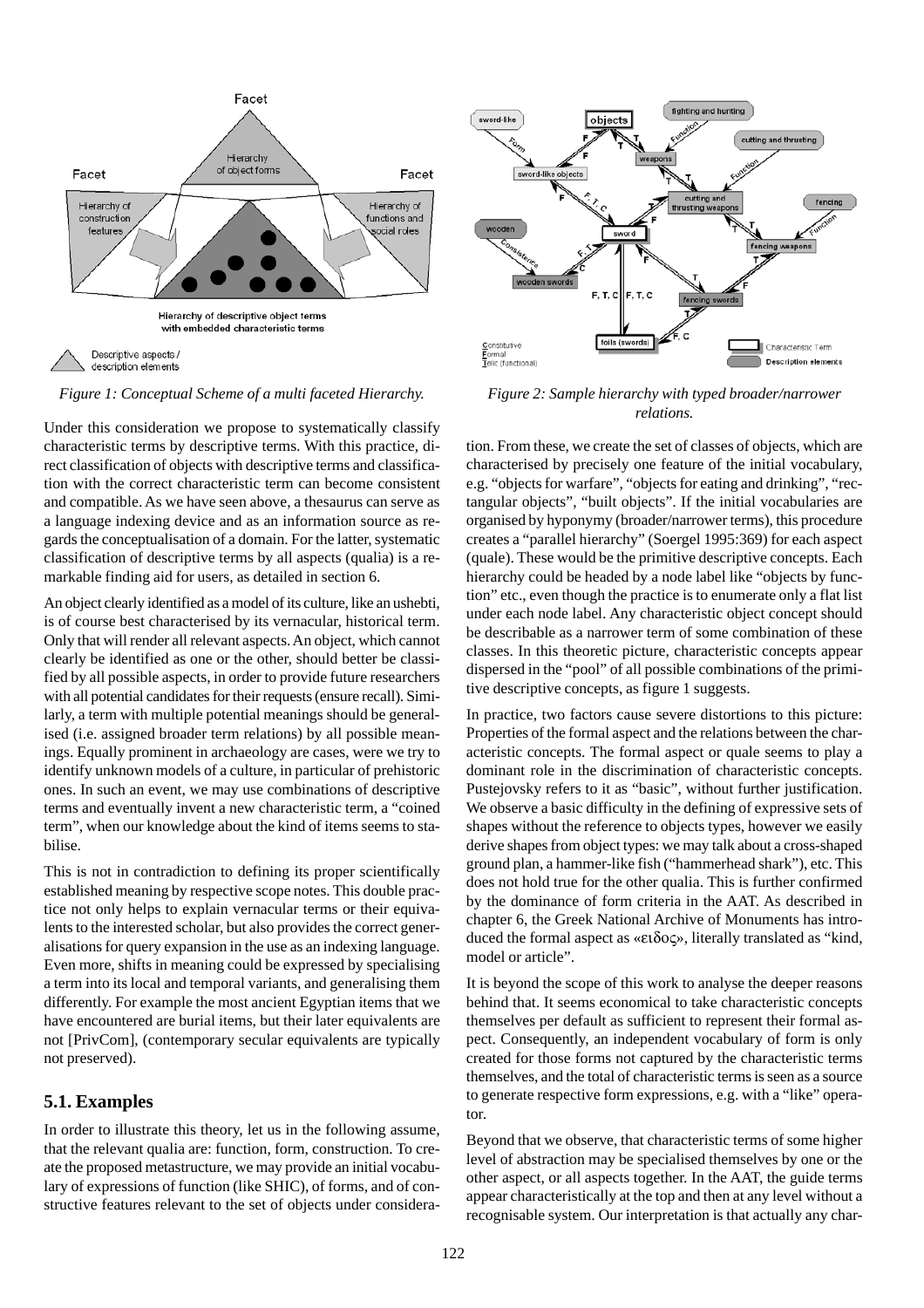

*Figure 1: Conceptual Scheme of a multi faceted Hierarchy. Figure 2: Sample hierarchy with typed broader/narrower*

Under this consideration we propose to systematically classify characteristic terms by descriptive terms. With this practice, direct classification of objects with descriptive terms and classification with the correct characteristic term can become consistent and compatible. As we have seen above, a thesaurus can serve as a language indexing device and as an information source as regards the conceptualisation of a domain. For the latter, systematic classification of descriptive terms by all aspects (qualia) is a remarkable finding aid for users, as detailed in section 6.

An object clearly identified as a model of its culture, like an ushebti, is of course best characterised by its vernacular, historical term. Only that will render all relevant aspects. An object, which cannot clearly be identified as one or the other, should better be classified by all possible aspects, in order to provide future researchers with all potential candidates for their requests (ensure recall). Similarly, a term with multiple potential meanings should be generalised (i.e. assigned broader term relations) by all possible meanings. Equally prominent in archaeology are cases, were we try to identify unknown models of a culture, in particular of prehistoric ones. In such an event, we may use combinations of descriptive terms and eventually invent a new characteristic term, a "coined term", when our knowledge about the kind of items seems to stabilise.

This is not in contradiction to defining its proper scientifically established meaning by respective scope notes. This double practice not only helps to explain vernacular terms or their equivalents to the interested scholar, but also provides the correct generalisations for query expansion in the use as an indexing language. Even more, shifts in meaning could be expressed by specialising a term into its local and temporal variants, and generalising them differently. For example the most ancient Egyptian items that we have encountered are burial items, but their later equivalents are not [PrivCom], (contemporary secular equivalents are typically not preserved).

#### **5.1. Examples**

In order to illustrate this theory, let us in the following assume, that the relevant qualia are: function, form, construction. To create the proposed metastructure, we may provide an initial vocabulary of expressions of function (like SHIC), of forms, and of constructive features relevant to the set of objects under considera-



*relations.*

tion. From these, we create the set of classes of objects, which are characterised by precisely one feature of the initial vocabulary, e.g. "objects for warfare", "objects for eating and drinking", "rectangular objects", "built objects". If the initial vocabularies are organised by hyponymy (broader/narrower terms), this procedure creates a "parallel hierarchy" (Soergel 1995:369) for each aspect (quale). These would be the primitive descriptive concepts. Each hierarchy could be headed by a node label like "objects by function" etc., even though the practice is to enumerate only a flat list under each node label. Any characteristic object concept should be describable as a narrower term of some combination of these classes. In this theoretic picture, characteristic concepts appear dispersed in the "pool" of all possible combinations of the primitive descriptive concepts, as figure 1 suggests.

In practice, two factors cause severe distortions to this picture: Properties of the formal aspect and the relations between the characteristic concepts. The formal aspect or quale seems to play a dominant role in the discrimination of characteristic concepts. Pustejovsky refers to it as "basic", without further justification. We observe a basic difficulty in the defining of expressive sets of shapes without the reference to objects types, however we easily derive shapes from object types: we may talk about a cross-shaped ground plan, a hammer-like fish ("hammerhead shark"), etc. This does not hold true for the other qualia. This is further confirmed by the dominance of form criteria in the AAT. As described in chapter 6, the Greek National Archive of Monuments has introduced the formal aspect as «ειδος», literally translated as "kind, model or article".

It is beyond the scope of this work to analyse the deeper reasons behind that. It seems economical to take characteristic concepts themselves per default as sufficient to represent their formal aspect. Consequently, an independent vocabulary of form is only created for those forms not captured by the characteristic terms themselves, and the total of characteristic terms is seen as a source to generate respective form expressions, e.g. with a "like" operator.

Beyond that we observe, that characteristic terms of some higher level of abstraction may be specialised themselves by one or the other aspect, or all aspects together. In the AAT, the guide terms appear characteristically at the top and then at any level without a recognisable system. Our interpretation is that actually any char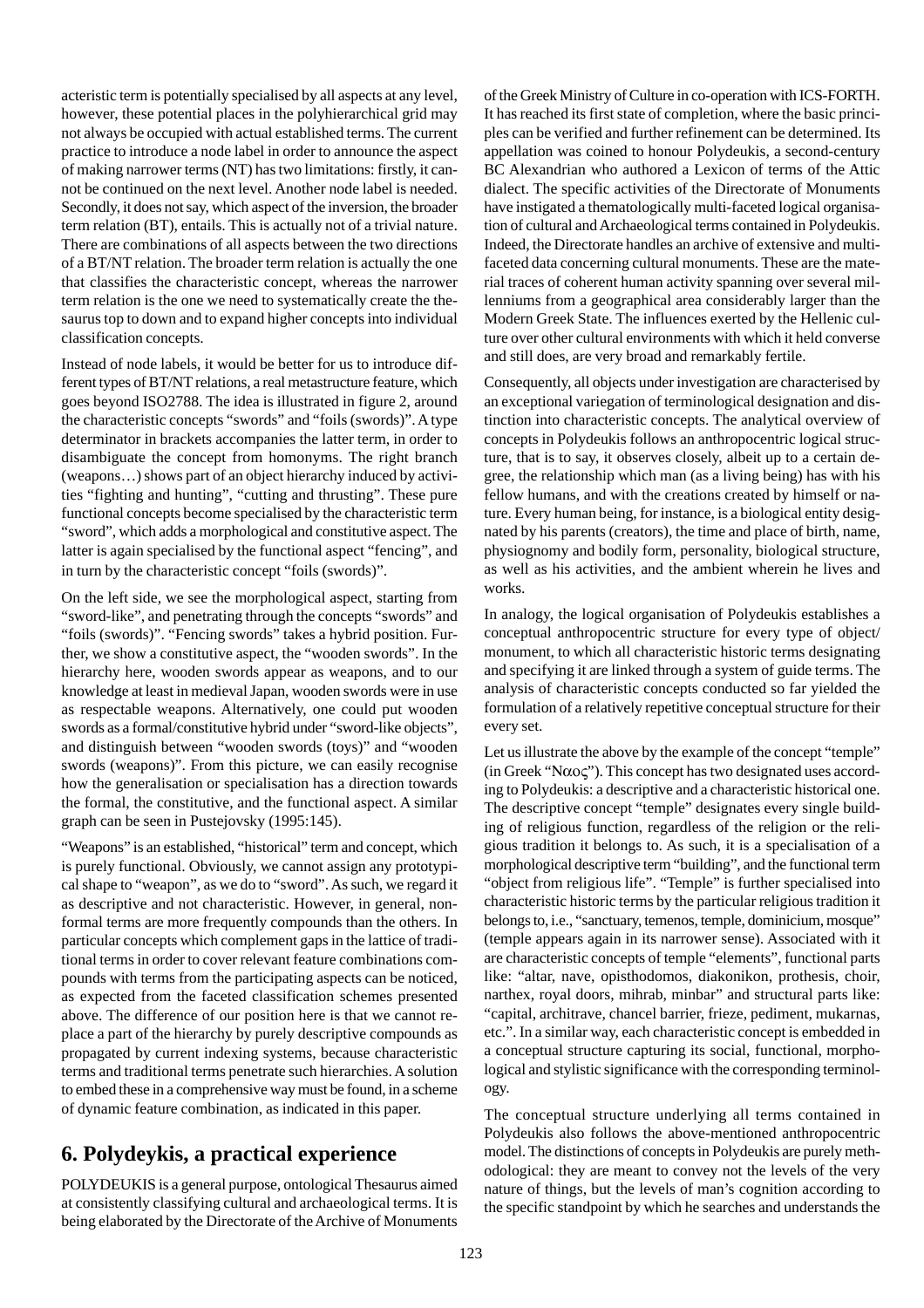acteristic term is potentially specialised by all aspects at any level, however, these potential places in the polyhierarchical grid may not always be occupied with actual established terms. The current practice to introduce a node label in order to announce the aspect of making narrower terms (NT) has two limitations: firstly, it cannot be continued on the next level. Another node label is needed. Secondly, it does not say, which aspect of the inversion, the broader term relation (BT), entails. This is actually not of a trivial nature. There are combinations of all aspects between the two directions of a BT/NT relation. The broader term relation is actually the one that classifies the characteristic concept, whereas the narrower term relation is the one we need to systematically create the thesaurus top to down and to expand higher concepts into individual classification concepts.

Instead of node labels, it would be better for us to introduce different types of BT/NT relations, a real metastructure feature, which goes beyond ISO2788. The idea is illustrated in figure 2, around the characteristic concepts "swords" and "foils (swords)". A type determinator in brackets accompanies the latter term, in order to disambiguate the concept from homonyms. The right branch (weapons…) shows part of an object hierarchy induced by activities "fighting and hunting", "cutting and thrusting". These pure functional concepts become specialised by the characteristic term "sword", which adds a morphological and constitutive aspect. The latter is again specialised by the functional aspect "fencing", and in turn by the characteristic concept "foils (swords)".

On the left side, we see the morphological aspect, starting from "sword-like", and penetrating through the concepts "swords" and "foils (swords)". "Fencing swords" takes a hybrid position. Further, we show a constitutive aspect, the "wooden swords". In the hierarchy here, wooden swords appear as weapons, and to our knowledge at least in medieval Japan, wooden swords were in use as respectable weapons. Alternatively, one could put wooden swords as a formal/constitutive hybrid under "sword-like objects", and distinguish between "wooden swords (toys)" and "wooden swords (weapons)". From this picture, we can easily recognise how the generalisation or specialisation has a direction towards the formal, the constitutive, and the functional aspect. A similar graph can be seen in Pustejovsky (1995:145).

"Weapons" is an established, "historical" term and concept, which is purely functional. Obviously, we cannot assign any prototypical shape to "weapon", as we do to "sword". As such, we regard it as descriptive and not characteristic. However, in general, nonformal terms are more frequently compounds than the others. In particular concepts which complement gaps in the lattice of traditional terms in order to cover relevant feature combinations compounds with terms from the participating aspects can be noticed, as expected from the faceted classification schemes presented above. The difference of our position here is that we cannot replace a part of the hierarchy by purely descriptive compounds as propagated by current indexing systems, because characteristic terms and traditional terms penetrate such hierarchies. A solution to embed these in a comprehensive way must be found, in a scheme of dynamic feature combination, as indicated in this paper.

# **6. Polydeykis, a practical experience**

POLYDEUKIS is a general purpose, ontological Thesaurus aimed at consistently classifying cultural and archaeological terms. It is being elaborated by the Directorate of the Archive of Monuments

of the Greek Ministry of Culture in co-operation with ICS-FORTH. It has reached its first state of completion, where the basic principles can be verified and further refinement can be determined. Its appellation was coined to honour Polydeukis, a second-century BC Alexandrian who authored a Lexicon of terms of the Attic dialect. The specific activities of the Directorate of Monuments have instigated a thematologically multi-faceted logical organisation of cultural and Archaeological terms contained in Polydeukis. Indeed, the Directorate handles an archive of extensive and multifaceted data concerning cultural monuments. These are the material traces of coherent human activity spanning over several millenniums from a geographical area considerably larger than the Modern Greek State. The influences exerted by the Hellenic culture over other cultural environments with which it held converse and still does, are very broad and remarkably fertile.

Consequently, all objects under investigation are characterised by an exceptional variegation of terminological designation and distinction into characteristic concepts. The analytical overview of concepts in Polydeukis follows an anthropocentric logical structure, that is to say, it observes closely, albeit up to a certain degree, the relationship which man (as a living being) has with his fellow humans, and with the creations created by himself or nature. Every human being, for instance, is a biological entity designated by his parents (creators), the time and place of birth, name, physiognomy and bodily form, personality, biological structure, as well as his activities, and the ambient wherein he lives and works.

In analogy, the logical organisation of Polydeukis establishes a conceptual anthropocentric structure for every type of object/ monument, to which all characteristic historic terms designating and specifying it are linked through a system of guide terms. The analysis of characteristic concepts conducted so far yielded the formulation of a relatively repetitive conceptual structure for their every set.

Let us illustrate the above by the example of the concept "temple" (in Greek "N $\alpha$ o $\varsigma$ "). This concept has two designated uses according to Polydeukis: a descriptive and a characteristic historical one. The descriptive concept "temple" designates every single building of religious function, regardless of the religion or the religious tradition it belongs to. As such, it is a specialisation of a morphological descriptive term "building", and the functional term "object from religious life". "Temple" is further specialised into characteristic historic terms by the particular religious tradition it belongs to, i.e., "sanctuary, temenos, temple, dominicium, mosque" (temple appears again in its narrower sense). Associated with it are characteristic concepts of temple "elements", functional parts like: "altar, nave, opisthodomos, diakonikon, prothesis, choir, narthex, royal doors, mihrab, minbar" and structural parts like: "capital, architrave, chancel barrier, frieze, pediment, mukarnas, etc.". In a similar way, each characteristic concept is embedded in a conceptual structure capturing its social, functional, morphological and stylistic significance with the corresponding terminology.

The conceptual structure underlying all terms contained in Polydeukis also follows the above-mentioned anthropocentric model. The distinctions of concepts in Polydeukis are purely methodological: they are meant to convey not the levels of the very nature of things, but the levels of man's cognition according to the specific standpoint by which he searches and understands the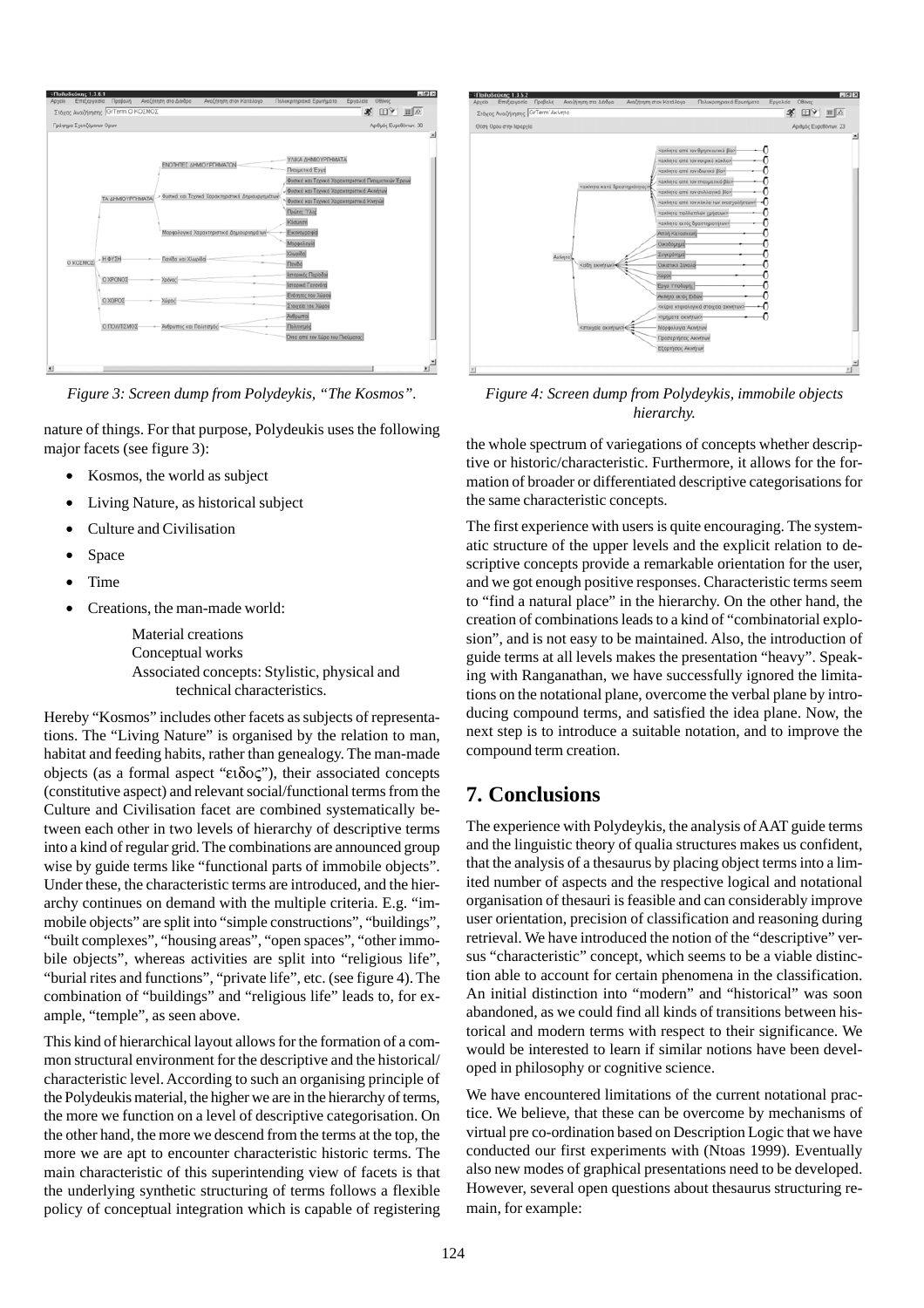| Γράφημα Σχετιζόμενων Ορων |                 |                                                    | Αριθμός Ευρεθόιτων: 30                                                                                                                                        |
|---------------------------|-----------------|----------------------------------------------------|---------------------------------------------------------------------------------------------------------------------------------------------------------------|
|                           |                 | ΕΝΟΤΗΤΕΣ ΔΗΜΟΥΡΓΗΜΑΤΩΝ                             | ΥΛΙΚΑ ΔΗΜΙΟΥΡΓΗΜΑΤΑ<br>Πνευματικά Έργα                                                                                                                        |
|                           | ΤΑ ΔΗΜΟΥΡΓΗΜΑΤΑ | - Φυσικά και Τεχνικά Χαρακτηριστικά Δημιουργημάτων | Φυσικά και Τεχνικά Χαρακτηριστικά Πνουματικών Έργων<br>Φυσικά και Τεχνικά Χαρακτηριστικά Ακινήτων<br>Φυσικά και Τεχνικά Χαρακτηριστικά Κινητών<br>Πρώτες Ύλες |
| O KOZMOZ - H OYEH         |                 | Μορφολογικά Χαρακτηριστικά Δημιουργημάτων          | Κάσμηση<br>Εικονογραφία<br>Μαρφολογία                                                                                                                         |
|                           |                 | Πανίδα και Χλωρίδα                                 | ХЭлиріба)<br><b>Naviba</b>                                                                                                                                    |
|                           | O XPONOZ        | Χρόνος                                             | Ιστορικός Περίοδοι<br>Ιστορικά Γεγονότα                                                                                                                       |
|                           | O XDPOI         | Xiipoc                                             | Ενότητες του Χώρου<br>Στοιχεία του Χώρου                                                                                                                      |
|                           | Ο ΠΟΛΙΤΙΣΜΟΣ    | - Άνθρωπος και Πολιτισμός                          | <b>A</b> eBpumpe<br>Πολιτισμός<br>Όντα από τον Χώρο του Πνεύματος                                                                                             |

nature of things. For that purpose, Polydeukis uses the following major facets (see figure 3):

- Kosmos, the world as subject
- Living Nature, as historical subject
- Culture and Civilisation
- **Space**
- Time
- Creations, the man-made world:

Material creations Conceptual works Associated concepts: Stylistic, physical and technical characteristics.

Hereby "Kosmos" includes other facets as subjects of representations. The "Living Nature" is organised by the relation to man, habitat and feeding habits, rather than genealogy. The man-made objects (as a formal aspect "ειδος"), their associated concepts (constitutive aspect) and relevant social/functional terms from the Culture and Civilisation facet are combined systematically between each other in two levels of hierarchy of descriptive terms into a kind of regular grid. The combinations are announced group wise by guide terms like "functional parts of immobile objects". Under these, the characteristic terms are introduced, and the hierarchy continues on demand with the multiple criteria. E.g. "immobile objects" are split into "simple constructions", "buildings", "built complexes", "housing areas", "open spaces", "other immobile objects", whereas activities are split into "religious life", "burial rites and functions", "private life", etc. (see figure 4). The combination of "buildings" and "religious life" leads to, for example, "temple", as seen above.

This kind of hierarchical layout allows for the formation of a common structural environment for the descriptive and the historical/ characteristic level. According to such an organising principle of the Polydeukis material, the higher we are in the hierarchy of terms, the more we function on a level of descriptive categorisation. On the other hand, the more we descend from the terms at the top, the more we are apt to encounter characteristic historic terms. The main characteristic of this superintending view of facets is that the underlying synthetic structuring of terms follows a flexible policy of conceptual integration which is capable of registering



*Figure 3: Screen dump from Polydeykis, "The Kosmos". Figure 4: Screen dump from Polydeykis, immobile objects hierarchy.*

the whole spectrum of variegations of concepts whether descriptive or historic/characteristic. Furthermore, it allows for the formation of broader or differentiated descriptive categorisations for the same characteristic concepts.

The first experience with users is quite encouraging. The systematic structure of the upper levels and the explicit relation to descriptive concepts provide a remarkable orientation for the user, and we got enough positive responses. Characteristic terms seem to "find a natural place" in the hierarchy. On the other hand, the creation of combinations leads to a kind of "combinatorial explosion", and is not easy to be maintained. Also, the introduction of guide terms at all levels makes the presentation "heavy". Speaking with Ranganathan, we have successfully ignored the limitations on the notational plane, overcome the verbal plane by introducing compound terms, and satisfied the idea plane. Now, the next step is to introduce a suitable notation, and to improve the compound term creation.

### **7. Conclusions**

The experience with Polydeykis, the analysis of AAT guide terms and the linguistic theory of qualia structures makes us confident, that the analysis of a thesaurus by placing object terms into a limited number of aspects and the respective logical and notational organisation of thesauri is feasible and can considerably improve user orientation, precision of classification and reasoning during retrieval. We have introduced the notion of the "descriptive" versus "characteristic" concept, which seems to be a viable distinction able to account for certain phenomena in the classification. An initial distinction into "modern" and "historical" was soon abandoned, as we could find all kinds of transitions between historical and modern terms with respect to their significance. We would be interested to learn if similar notions have been developed in philosophy or cognitive science.

We have encountered limitations of the current notational practice. We believe, that these can be overcome by mechanisms of virtual pre co-ordination based on Description Logic that we have conducted our first experiments with (Ntoas 1999). Eventually also new modes of graphical presentations need to be developed. However, several open questions about thesaurus structuring remain, for example: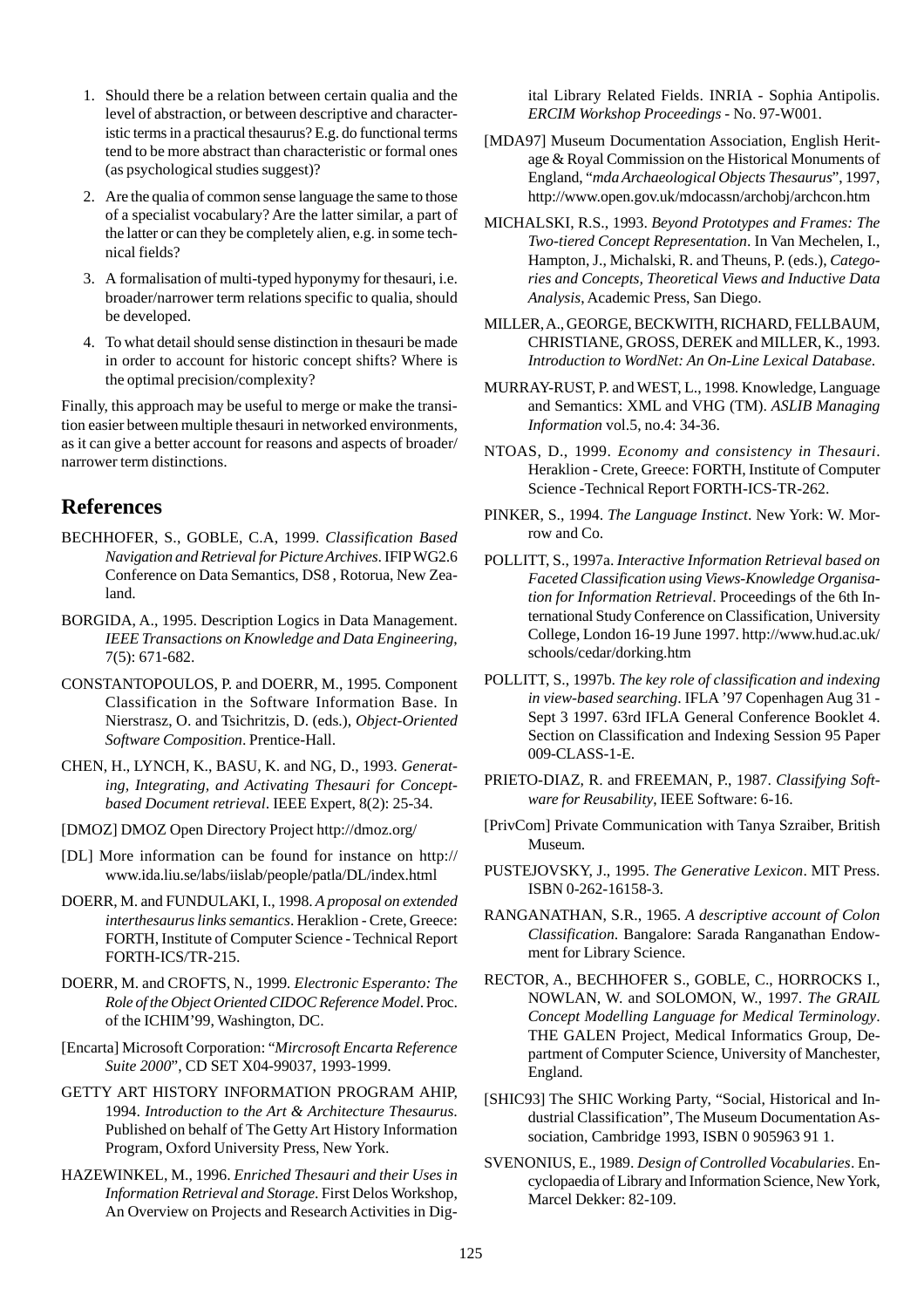- 1. Should there be a relation between certain qualia and the level of abstraction, or between descriptive and characteristic terms in a practical thesaurus? E.g. do functional terms tend to be more abstract than characteristic or formal ones (as psychological studies suggest)?
- 2. Are the qualia of common sense language the same to those of a specialist vocabulary? Are the latter similar, a part of the latter or can they be completely alien, e.g. in some technical fields?
- 3. A formalisation of multi-typed hyponymy for thesauri, i.e. broader/narrower term relations specific to qualia, should be developed.
- 4. To what detail should sense distinction in thesauri be made in order to account for historic concept shifts? Where is the optimal precision/complexity?

Finally, this approach may be useful to merge or make the transition easier between multiple thesauri in networked environments, as it can give a better account for reasons and aspects of broader/ narrower term distinctions.

### **References**

- BECHHOFER, S., GOBLE, C.A, 1999. *Classification Based Navigation and Retrieval for Picture Archives*. IFIP WG2.6 Conference on Data Semantics, DS8 , Rotorua, New Zealand.
- BORGIDA, A., 1995. Description Logics in Data Management. *IEEE Transactions on Knowledge and Data Engineering*, 7(5): 671-682.
- CONSTANTOPOULOS, P. and DOERR, M., 1995*.* Component Classification in the Software Information Base. In Nierstrasz, O. and Tsichritzis, D. (eds.), *Object-Oriented Software Composition*. Prentice-Hall.
- CHEN, H., LYNCH, K., BASU, K. and NG, D., 1993*. Generating, Integrating, and Activating Thesauri for Conceptbased Document retrieval*. IEEE Expert, 8(2): 25-34.
- [DMOZ] DMOZ Open Directory Project http://dmoz.org/
- [DL] More information can be found for instance on http:// www.ida.liu.se/labs/iislab/people/patla/DL/index.html
- DOERR, M. and FUNDULAKI, I., 1998. *A proposal on extended interthesaurus links semantics*. Heraklion - Crete, Greece: FORTH, Institute of Computer Science - Technical Report FORTH-ICS/TR-215.
- DOERR, M. and CROFTS, N., 1999*. Electronic Esperanto: The Role of the Object Oriented CIDOC Reference Model*. Proc. of the ICHIM'99, Washington, DC.
- [Encarta] Microsoft Corporation: "*Mircrosoft Encarta Reference Suite 2000*", CD SET X04-99037, 1993-1999.
- GETTY ART HISTORY INFORMATION PROGRAM AHIP, 1994. *Introduction to the Art & Architecture Thesaurus*. Published on behalf of The Getty Art History Information Program, Oxford University Press, New York.
- HAZEWINKEL, M., 1996. *Enriched Thesauri and their Uses in Information Retrieval and Storage*. First Delos Workshop, An Overview on Projects and Research Activities in Dig-

ital Library Related Fields. INRIA - Sophia Antipolis. *ERCIM Workshop Proceedings* - No. 97-W001.

- [MDA97] Museum Documentation Association, English Heritage & Royal Commission on the Historical Monuments of England, "*mda Archaeological Objects Thesaurus*", 1997, http://www.open.gov.uk/mdocassn/archobj/archcon.htm
- MICHALSKI, R.S., 1993. *Beyond Prototypes and Frames: The Two-tiered Concept Representation*. In Van Mechelen, I., Hampton, J., Michalski, R. and Theuns, P. (eds.), *Categories and Concepts, Theoretical Views and Inductive Data Analysis*, Academic Press, San Diego.
- MILLER, A., GEORGE, BECKWITH, RICHARD, FELLBAUM, CHRISTIANE, GROSS, DEREK and MILLER, K., 1993. *Introduction to WordNet: An On-Line Lexical Database*.
- MURRAY-RUST, P. and WEST, L., 1998*.* Knowledge, Language and Semantics: XML and VHG (TM). *ASLIB Managing Information* vol.5, no.4: 34-36.
- NTOAS, D., 1999. *Economy and consistency in Thesauri*. Heraklion - Crete, Greece: FORTH, Institute of Computer Science -Technical Report FORTH-ICS-TR-262.
- PINKER, S., 1994. *The Language Instinct*. New York: W. Morrow and Co.
- POLLITT, S., 1997a. *Interactive Information Retrieval based on Faceted Classification using Views*-*Knowledge Organisation for Information Retrieval*. Proceedings of the 6th International Study Conference on Classification, University College, London 16-19 June 1997. http://www.hud.ac.uk/ schools/cedar/dorking.htm
- POLLITT, S., 1997b. *The key role of classification and indexing in view-based searching*. IFLA '97 Copenhagen Aug 31 - Sept 3 1997. 63rd IFLA General Conference Booklet 4. Section on Classification and Indexing Session 95 Paper 009-CLASS-1-E.
- PRIETO-DIAZ, R. and FREEMAN, P., 1987. *Classifying Software for Reusability*, IEEE Software: 6-16.
- [PrivCom] Private Communication with Tanya Szraiber, British Museum.
- PUSTEJOVSKY, J., 1995. *The Generative Lexicon*. MIT Press. ISBN 0-262-16158-3.
- RANGANATHAN, S.R., 1965. *A descriptive account of Colon Classification*. Bangalore: Sarada Ranganathan Endowment for Library Science.
- RECTOR, A., BECHHOFER S., GOBLE, C., HORROCKS I., NOWLAN, W. and SOLOMON, W., 1997. *The GRAIL Concept Modelling Language for Medical Terminology*. THE GALEN Project, Medical Informatics Group, Department of Computer Science, University of Manchester, England.
- [SHIC93] The SHIC Working Party, "Social, Historical and Industrial Classification", The Museum Documentation Association, Cambridge 1993, ISBN 0 905963 91 1.
- SVENONIUS, E., 1989. *Design of Controlled Vocabularies*. Encyclopaedia of Library and Information Science, New York, Marcel Dekker: 82-109.